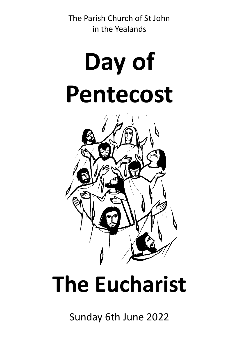The Parish Church of St John in the Yealands

# **Day of Pentecost**



## **The Eucharist**

Sunday 6th June 2022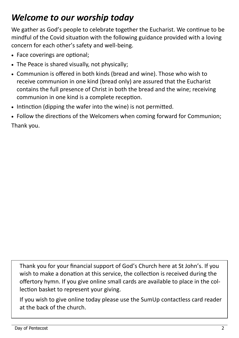## *Welcome to our worship today*

We gather as God's people to celebrate together the Eucharist. We continue to be mindful of the Covid situation with the following guidance provided with a loving concern for each other's safety and well-being.

- Face coverings are optional;
- The Peace is shared visually, not physically;
- Communion is offered in both kinds (bread and wine). Those who wish to receive communion in one kind (bread only) are assured that the Eucharist contains the full presence of Christ in both the bread and the wine; receiving communion in one kind is a complete reception.
- Intinction (dipping the wafer into the wine) is not permitted.
- Follow the directions of the Welcomers when coming forward for Communion; Thank you.

Thank you for your financial support of God's Church here at St John's. If you wish to make a donation at this service, the collection is received during the offertory hymn. If you give online small cards are available to place in the collection basket to represent your giving.

If you wish to give online today please use the SumUp contactless card reader at the back of the church.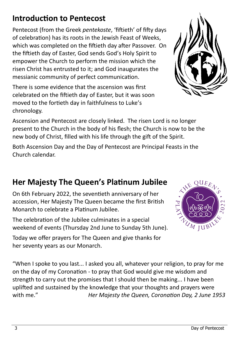## **Introduction to Pentecost**

Pentecost (from the Greek *pentekoste*, 'fiftieth' of fifty days of celebration) has its roots in the Jewish Feast of Weeks, which was completed on the fiftieth day after Passover. On the fiftieth day of Easter, God sends God's Holy Spirit to empower the Church to perform the mission which the risen Christ has entrusted to it; and God inaugurates the messianic community of perfect communication.

There is some evidence that the ascension was first celebrated on the fiftieth day of Easter, but it was soon moved to the fortieth day in faithfulness to Luke's chronology.

Ascension and Pentecost are closely linked. The risen Lord is no longer present to the Church in the body of his flesh; the Church is now to be the new body of Christ, filled with his life through the gift of the Spirit.

Both Ascension Day and the Day of Pentecost are Principal Feasts in the Church calendar.

## **Her Majesty The Queen's Platinum Jubilee**

On 6th February 2022, the seventieth anniversary of her accession, Her Majesty The Queen became the first British Monarch to celebrate a Platinum Jubilee.

The celebration of the Jubilee culminates in a special weekend of events (Thursday 2nd June to Sunday 5th June).

Today we offer prayers for The Queen and give thanks for her seventy years as our Monarch.

"When I spoke to you last... I asked you all, whatever your religion, to pray for me on the day of my Coronation - to pray that God would give me wisdom and strength to carry out the promises that I should then be making... I have been uplifted and sustained by the knowledge that your thoughts and prayers were with me." *Her Majesty the Queen, Coronation Day, 2 June 1953*



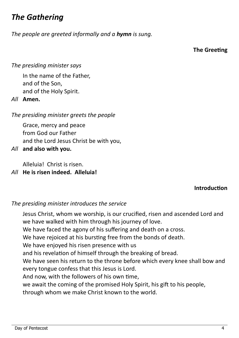## *The Gathering*

*The people are greeted informally and a hymn is sung.*

**The Greeting**

#### *The presiding minister says*

In the name of the Father, and of the Son, and of the Holy Spirit.

*All* **Amen.**

*The presiding minister greets the people*

Grace, mercy and peace from God our Father and the Lord Jesus Christ be with you,

*All* **and also with you.**

Alleluia! Christ is risen.

#### *All* **He is risen indeed. Alleluia!**

#### **Introduction**

#### *The presiding minister introduces the service*

Jesus Christ, whom we worship, is our crucified, risen and ascended Lord and we have walked with him through his journey of love.

We have faced the agony of his suffering and death on a cross.

We have rejoiced at his bursting free from the bonds of death.

We have enjoyed his risen presence with us

and his revelation of himself through the breaking of bread.

We have seen his return to the throne before which every knee shall bow and every tongue confess that this Jesus is Lord.

And now, with the followers of his own time,

we await the coming of the promised Holy Spirit, his gift to his people,

through whom we make Christ known to the world.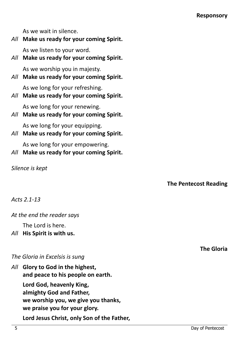As we wait in silence.

### *All* **Make us ready for your coming Spirit.**

As we listen to your word.

## *All* **Make us ready for your coming Spirit.**

As we worship you in majesty.

*All* **Make us ready for your coming Spirit.**

As we long for your refreshing.

*All* **Make us ready for your coming Spirit.**

As we long for your renewing.

*All* **Make us ready for your coming Spirit.**

As we long for your equipping.

*All* **Make us ready for your coming Spirit.**

As we long for your empowering.

*All* **Make us ready for your coming Spirit.**

*Silence is kept*

## **The Pentecost Reading**

*Acts 2.1-13*

## *At the end the reader says*

The Lord is here.

*All* **His Spirit is with us.**

## *The Gloria in Excelsis is sung*

*All* **Glory to God in the highest, and peace to his people on earth. Lord God, heavenly King, almighty God and Father, we worship you, we give you thanks, we praise you for your glory. Lord Jesus Christ, only Son of the Father,**  **The Gloria**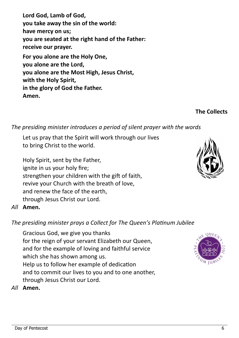**Lord God, Lamb of God, you take away the sin of the world: have mercy on us; you are seated at the right hand of the Father: receive our prayer. For you alone are the Holy One, you alone are the Lord, you alone are the Most High, Jesus Christ, with the Holy Spirit, in the glory of God the Father.** 

**Amen.**

#### *The presiding minister introduces a period of silent prayer with the words*

Let us pray that the Spirit will work through our lives to bring Christ to the world.

Holy Spirit, sent by the Father, ignite in us your holy fire; strengthen your children with the gift of faith, revive your Church with the breath of love, and renew the face of the earth, through Jesus Christ our Lord.

#### *All* **Amen.**

#### *The presiding minister prays a Collect for The Queen's Platinum Jubilee*

Gracious God, we give you thanks for the reign of your servant Elizabeth our Queen, and for the example of loving and faithful service which she has shown among us. Help us to follow her example of dedication and to commit our lives to you and to one another, through Jesus Christ our Lord.

#### *All* **Amen.**





**The Collects**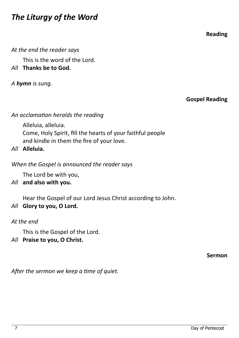## *The Liturgy of the Word*

**Reading**

*At the end the reader says*

This is the word of the Lord.

*All* **Thanks be to God.**

*A hymn is sung.* 

**Gospel Reading**

*An acclamation heralds the reading* 

Alleluia, alleluia. Come, Holy Spirit, fill the hearts of your faithful people and kindle in them the fire of your love.

*All* **Alleluia.**

*When the Gospel is announced the reader says*

The Lord be with you,

*All* **and also with you.**

Hear the Gospel of our Lord Jesus Christ according to John.

*All* **Glory to you, O Lord.**

*At the end*

This is the Gospel of the Lord.

*All* **Praise to you, O Christ.**

**Sermon**

*After the sermon we keep a time of quiet.*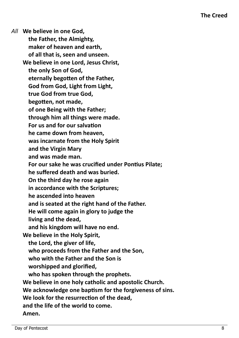*All* **We believe in one God, the Father, the Almighty, maker of heaven and earth, of all that is, seen and unseen. We believe in one Lord, Jesus Christ, the only Son of God, eternally begotten of the Father, God from God, Light from Light, true God from true God, begotten, not made, of one Being with the Father; through him all things were made. For us and for our salvation he came down from heaven, was incarnate from the Holy Spirit and the Virgin Mary and was made man. For our sake he was crucified under Pontius Pilate; he suffered death and was buried. On the third day he rose again in accordance with the Scriptures; he ascended into heaven and is seated at the right hand of the Father. He will come again in glory to judge the living and the dead, and his kingdom will have no end. We believe in the Holy Spirit, the Lord, the giver of life, who proceeds from the Father and the Son, who with the Father and the Son is worshipped and glorified, who has spoken through the prophets. We believe in one holy catholic and apostolic Church. We acknowledge one baptism for the forgiveness of sins. We look for the resurrection of the dead, and the life of the world to come. Amen.**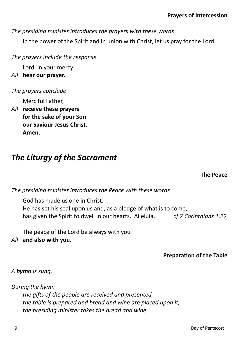*The presiding minister introduces the prayers with these words*

In the power of the Spirit and in union with Christ, let us pray for the Lord.

*The prayers include the response*

Lord, in your mercy

*All* **hear our prayer.**

#### *The prayers conclude*

Merciful Father,

*All* **receive these prayers for the sake of your Son our Saviour Jesus Christ. Amen.** 

## *The Liturgy of the Sacrament*

**The Peace**

*The presiding minister introduces the Peace with these words*

God has made us one in Christ. He has set his seal upon us and, as a pledge of what is to come, has given the Spirit to dwell in our hearts. Alleluia. *cf 2 Corinthians 1.22*

The peace of the Lord be always with you

*All* **and also with you.**

**Preparation of the Table**

*A hymn is sung.*

*During the hymn the gifts of the people are received and presented, the table is prepared and bread and wine are placed upon it, the presiding minister takes the bread and wine.*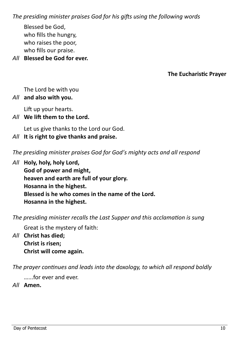*The presiding minister praises God for his gifts using the following words*

Blessed be God, who fills the hungry, who raises the poor, who fills our praise.

*All* **Blessed be God for ever.** 

#### **The Eucharistic Prayer**

The Lord be with you

#### *All* **and also with you.**

Lift up your hearts.

*All* **We lift them to the Lord.**

Let us give thanks to the Lord our God.

*All* **It is right to give thanks and praise.**

*The presiding minister praises God for God's mighty acts and all respond*

*All* **Holy, holy, holy Lord, God of power and might, heaven and earth are full of your glory. Hosanna in the highest. Blessed is he who comes in the name of the Lord. Hosanna in the highest.**

*The presiding minister recalls the Last Supper and this acclamation is sung*

Great is the mystery of faith:

*All* **Christ has died; Christ is risen; Christ will come again.** 

*The prayer continues and leads into the doxology, to which all respond boldly*

…...for ever and ever.

*All* **Amen.**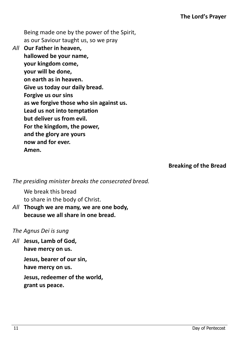Being made one by the power of the Spirit, as our Saviour taught us, so we pray

*All* **Our Father in heaven, hallowed be your name, your kingdom come, your will be done, on earth as in heaven. Give us today our daily bread. Forgive us our sins as we forgive those who sin against us. Lead us not into temptation but deliver us from evil. For the kingdom, the power, and the glory are yours now and for ever. Amen.**

**Breaking of the Bread**

*The presiding minister breaks the consecrated bread.*

We break this bread to share in the body of Christ.

*All* **Though we are many, we are one body, because we all share in one bread.** 

#### *The Agnus Dei is sung*

*All* **Jesus, Lamb of God, have mercy on us.**

> **Jesus, bearer of our sin, have mercy on us.**

**Jesus, redeemer of the world, grant us peace.**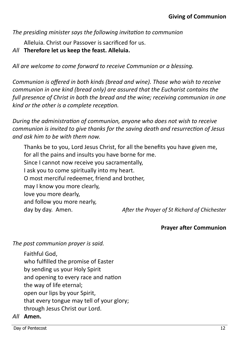*The presiding minister says the following invitation to communion*

Alleluia. Christ our Passover is sacrificed for us.

*All* **Therefore let us keep the feast. Alleluia.**

*All are welcome to come forward to receive Communion or a blessing.* 

*Communion is offered in both kinds (bread and wine). Those who wish to receive communion in one kind (bread only) are assured that the Eucharist contains the full presence of Christ in both the bread and the wine; receiving communion in one kind or the other is a complete reception.* 

*During the administration of communion, anyone who does not wish to receive communion is invited to give thanks for the saving death and resurrection of Jesus and ask him to be with them now.* 

Thanks be to you, Lord Jesus Christ, for all the benefits you have given me, for all the pains and insults you have borne for me. Since I cannot now receive you sacramentally, I ask you to come spiritually into my heart. O most merciful redeemer, friend and brother, may I know you more clearly, love you more dearly, and follow you more nearly, day by day. Amen. *After the Prayer of St Richard of Chichester*

#### **Prayer after Communion**

*The post communion prayer is said.*

Faithful God, who fulfilled the promise of Easter by sending us your Holy Spirit and opening to every race and nation the way of life eternal; open our lips by your Spirit, that every tongue may tell of your glory; through Jesus Christ our Lord.

#### *All* **Amen.**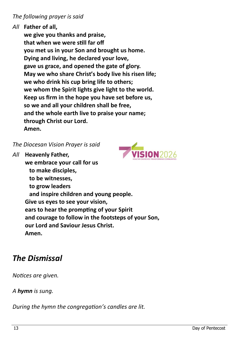#### *The following prayer is said*

#### *All* **Father of all,**

**we give you thanks and praise, that when we were still far off you met us in your Son and brought us home. Dying and living, he declared your love, gave us grace, and opened the gate of glory. May we who share Christ's body live his risen life; we who drink his cup bring life to others; we whom the Spirit lights give light to the world. Keep us firm in the hope you have set before us, so we and all your children shall be free, and the whole earth live to praise your name; through Christ our Lord. Amen.**

*The Diocesan Vision Prayer is said*



*All* **Heavenly Father, we embrace your call for us to make disciples, to be witnesses, to grow leaders and inspire children and young people. Give us eyes to see your vision, ears to hear the prompting of your Spirit and courage to follow in the footsteps of your Son, our Lord and Saviour Jesus Christ. Amen.** 

## *The Dismissal*

*Notices are given.* 

*A hymn is sung.*

*During the hymn the congregation's candles are lit.*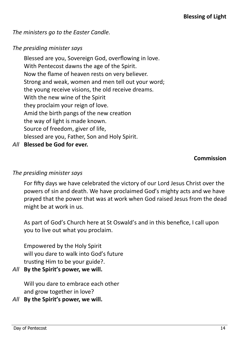*The ministers go to the Easter Candle.*

#### *The presiding minister says*

Blessed are you, Sovereign God, overflowing in love. With Pentecost dawns the age of the Spirit. Now the flame of heaven rests on very believer. Strong and weak, women and men tell out your word; the young receive visions, the old receive dreams. With the new wine of the Spirit they proclaim your reign of love. Amid the birth pangs of the new creation the way of light is made known. Source of freedom, giver of life, blessed are you, Father, Son and Holy Spirit.

*All* **Blessed be God for ever.**

#### **Commission**

#### *The presiding minister says*

For fifty days we have celebrated the victory of our Lord Jesus Christ over the powers of sin and death. We have proclaimed God's mighty acts and we have prayed that the power that was at work when God raised Jesus from the dead might be at work in us.

As part of God's Church here at St Oswald's and in this benefice, I call upon you to live out what you proclaim.

Empowered by the Holy Spirit will you dare to walk into God's future trusting Him to be your guide?.

*All* **By the Spirit's power, we will.**

Will you dare to embrace each other and grow together in love?

*All* **By the Spirit's power, we will.**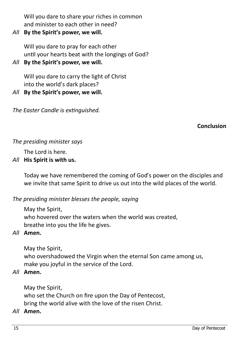Will you dare to share your riches in common and minister to each other in need?

*All* **By the Spirit's power, we will.**

Will you dare to pray for each other until your hearts beat with the longings of God?

*All* **By the Spirit's power, we will.**

Will you dare to carry the light of Christ into the world's dark places?

*All* **By the Spirit's power, we will.**

*The Easter Candle is extinguished.* 

**Conclusion**

#### *The presiding minister says*

The Lord is here.

#### *All* **His Spirit is with us.**

Today we have remembered the coming of God's power on the disciples and we invite that same Spirit to drive us out into the wild places of the world.

*The presiding minister blesses the people, saying*

May the Spirit, who hovered over the waters when the world was created, breathe into you the life he gives.

#### *All* **Amen.**

May the Spirit,

who overshadowed the Virgin when the eternal Son came among us, make you joyful in the service of the Lord.

#### *All* **Amen.**

May the Spirit,

who set the Church on fire upon the Day of Pentecost,

## bring the world alive with the love of the risen Christ.

#### *All* **Amen.**